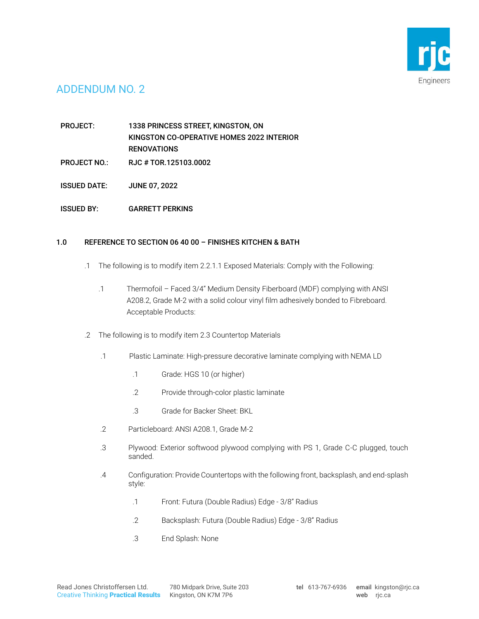

# ADDENDUM NO. 2

PROJECT: 1338 PRINCESS STREET, KINGSTON, ON KINGSTON CO-OPERATIVE HOMES 2022 INTERIOR RENOVATIONS

- PROJECT NO.: RJC # TOR.125103.0002
- ISSUED DATE: JUNE 07, 2022
- ISSUED BY: GARRETT PERKINS

### 1.0 REFERENCE TO SECTION 06 40 00 – FINISHES KITCHEN & BATH

- .1 The following is to modify item 2.2.1.1 Exposed Materials: Comply with the Following:
	- .1 Thermofoil Faced 3/4" Medium Density Fiberboard (MDF) complying with ANSI A208.2, Grade M-2 with a solid colour vinyl film adhesively bonded to Fibreboard. Acceptable Products:
- .2 The following is to modify item 2.3 Countertop Materials
	- .1 Plastic Laminate: High-pressure decorative laminate complying with NEMA LD
		- .1 Grade: HGS 10 (or higher)
		- .2 Provide through-color plastic laminate
		- .3 Grade for Backer Sheet: BKL
	- .2 Particleboard: ANSI A208.1, Grade M-2
	- .3 Plywood: Exterior softwood plywood complying with PS 1, Grade C-C plugged, touch sanded.
	- .4 Configuration: Provide Countertops with the following front, backsplash, and end-splash style:
		- .1 Front: Futura (Double Radius) Edge 3/8" Radius
		- .2 Backsplash: Futura (Double Radius) Edge 3/8" Radius
		- .3 End Splash: None